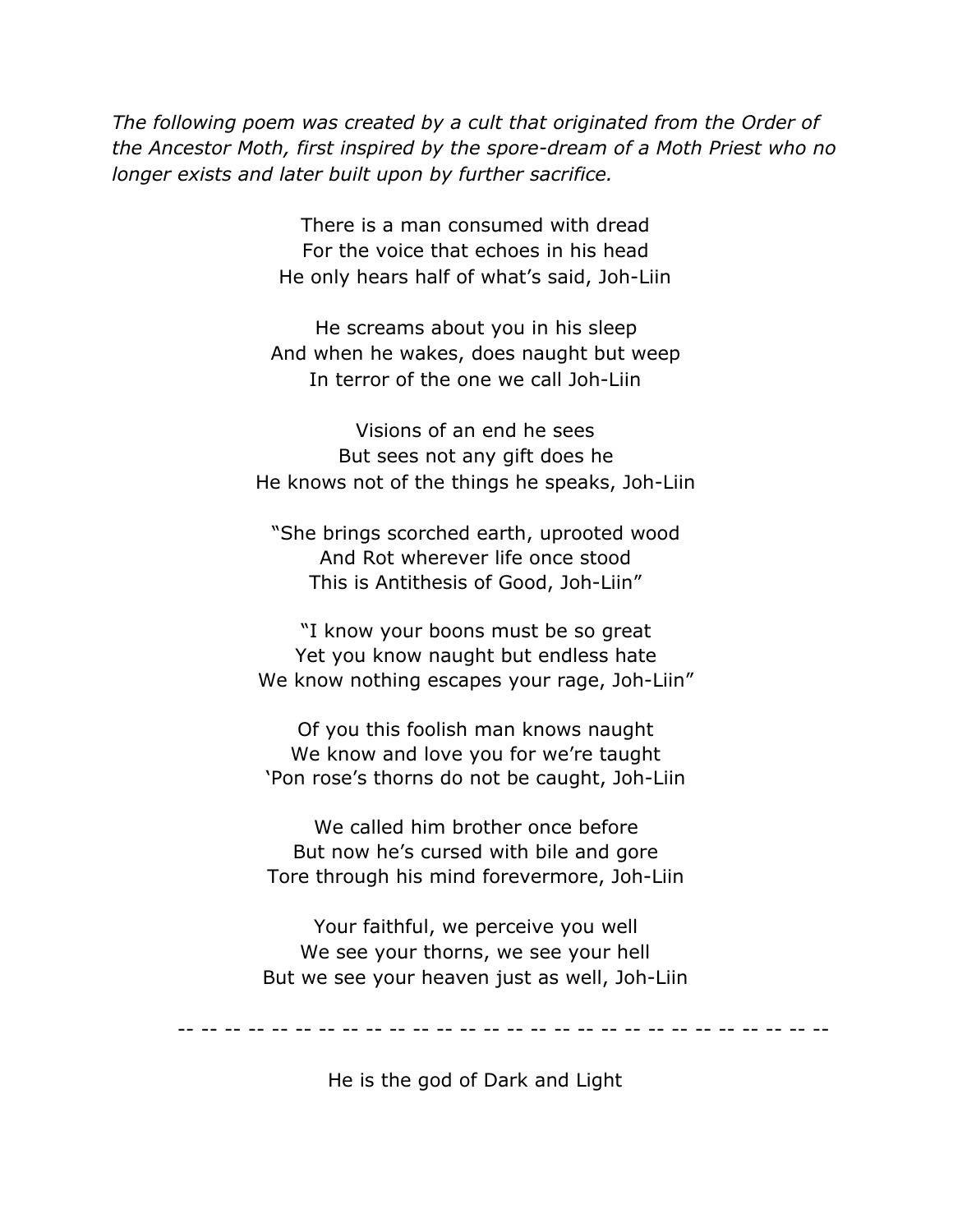*The following poem was created by a cult that originated from the Order of the Ancestor Moth, first inspired by the spore-dream of a Moth Priest who no longer exists and later built upon by further sacrifice.*

> There is a man consumed with dread For the voice that echoes in his head He only hears half of what's said, Joh-Liin

He screams about you in his sleep And when he wakes, does naught but weep In terror of the one we call Joh-Liin

Visions of an end he sees But sees not any gift does he He knows not of the things he speaks, Joh-Liin

"She brings scorched earth, uprooted wood And Rot wherever life once stood This is Antithesis of Good, Joh-Liin"

"I know your boons must be so great Yet you know naught but endless hate We know nothing escapes your rage, Joh-Liin"

Of you this foolish man knows naught We know and love you for we're taught 'Pon rose's thorns do not be caught, Joh-Liin

We called him brother once before But now he's cursed with bile and gore Tore through his mind forevermore, Joh-Liin

Your faithful, we perceive you well We see your thorns, we see your hell But we see your heaven just as well, Joh-Liin

-- -- -- -- -- -- -- -- -- -- -- -- -- -- -- -- -- -- -- -- -- -- -- -- -- -- -- --

He is the god of Dark and Light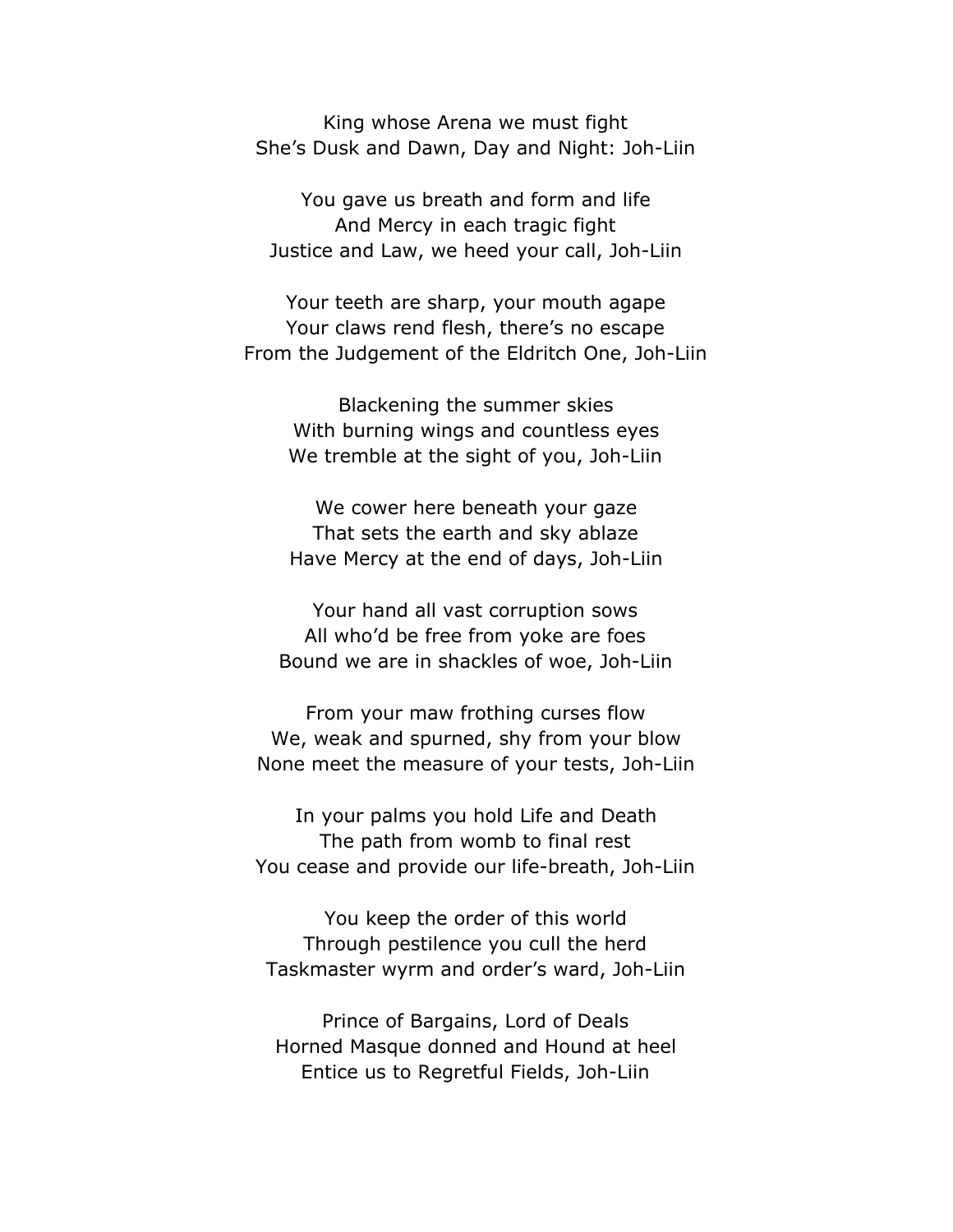King whose Arena we must fight She's Dusk and Dawn, Day and Night: Joh-Liin

You gave us breath and form and life And Mercy in each tragic fight Justice and Law, we heed your call, Joh-Liin

Your teeth are sharp, your mouth agape Your claws rend flesh, there's no escape From the Judgement of the Eldritch One, Joh-Liin

Blackening the summer skies With burning wings and countless eyes We tremble at the sight of you, Joh-Liin

We cower here beneath your gaze That sets the earth and sky ablaze Have Mercy at the end of days, Joh-Liin

Your hand all vast corruption sows All who'd be free from yoke are foes Bound we are in shackles of woe, Joh-Liin

From your maw frothing curses flow We, weak and spurned, shy from your blow None meet the measure of your tests, Joh-Liin

In your palms you hold Life and Death The path from womb to final rest You cease and provide our life-breath, Joh-Liin

You keep the order of this world Through pestilence you cull the herd Taskmaster wyrm and order's ward, Joh-Liin

Prince of Bargains, Lord of Deals Horned Masque donned and Hound at heel Entice us to Regretful Fields, Joh-Liin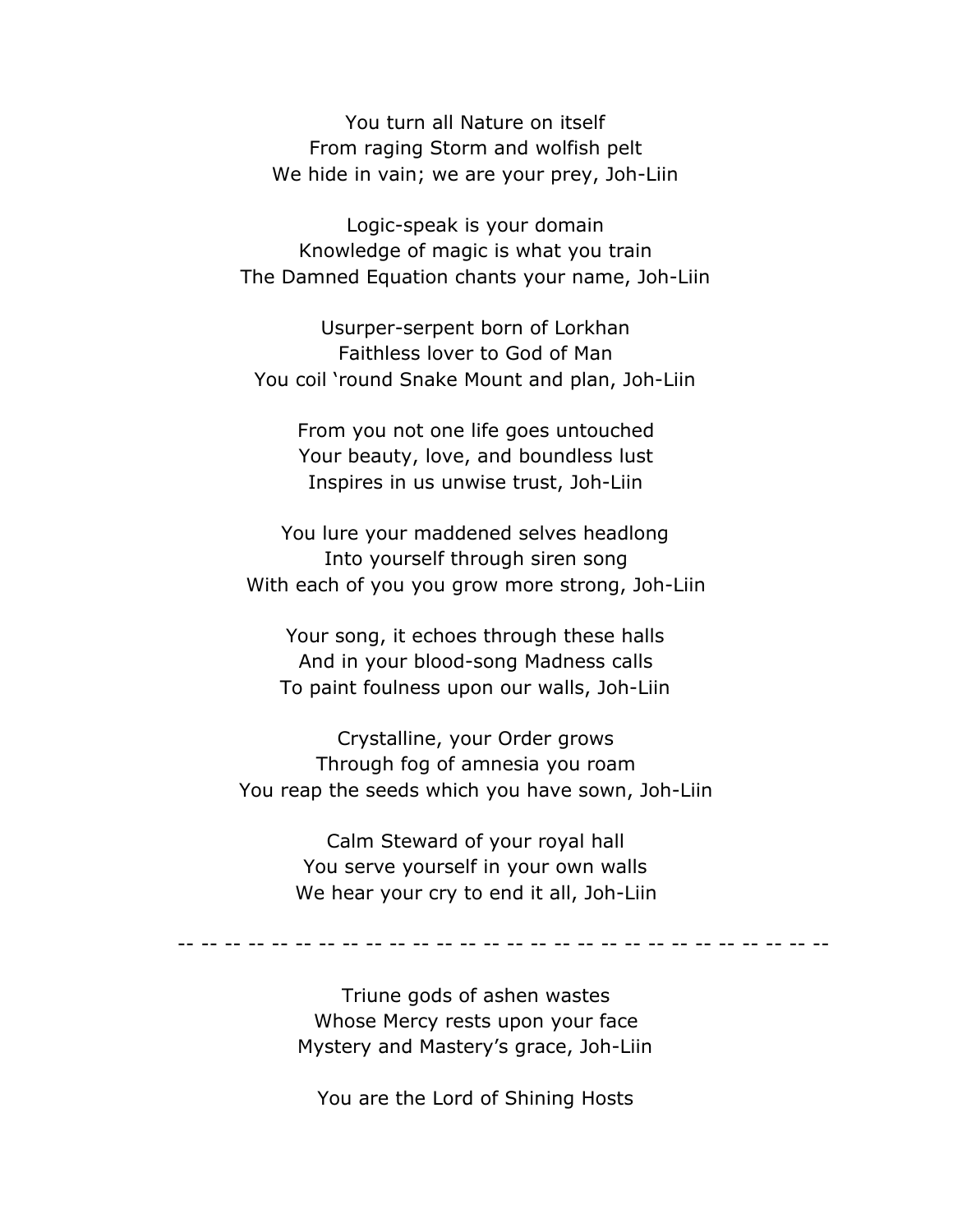You turn all Nature on itself From raging Storm and wolfish pelt We hide in vain; we are your prey, Joh-Liin

Logic-speak is your domain Knowledge of magic is what you train The Damned Equation chants your name, Joh-Liin

Usurper-serpent born of Lorkhan Faithless lover to God of Man You coil 'round Snake Mount and plan, Joh-Liin

From you not one life goes untouched Your beauty, love, and boundless lust Inspires in us unwise trust, Joh-Liin

You lure your maddened selves headlong Into yourself through siren song With each of you you grow more strong, Joh-Liin

Your song, it echoes through these halls And in your blood-song Madness calls To paint foulness upon our walls, Joh-Liin

Crystalline, your Order grows Through fog of amnesia you roam You reap the seeds which you have sown, Joh-Liin

> Calm Steward of your royal hall You serve yourself in your own walls We hear your cry to end it all, Joh-Liin

-- -- -- -- -- -- -- -- -- -- -- -- -- -- -- -- -- -- -- -- -- -- -- -- -- -- -- --

Triune gods of ashen wastes Whose Mercy rests upon your face Mystery and Mastery's grace, Joh-Liin

You are the Lord of Shining Hosts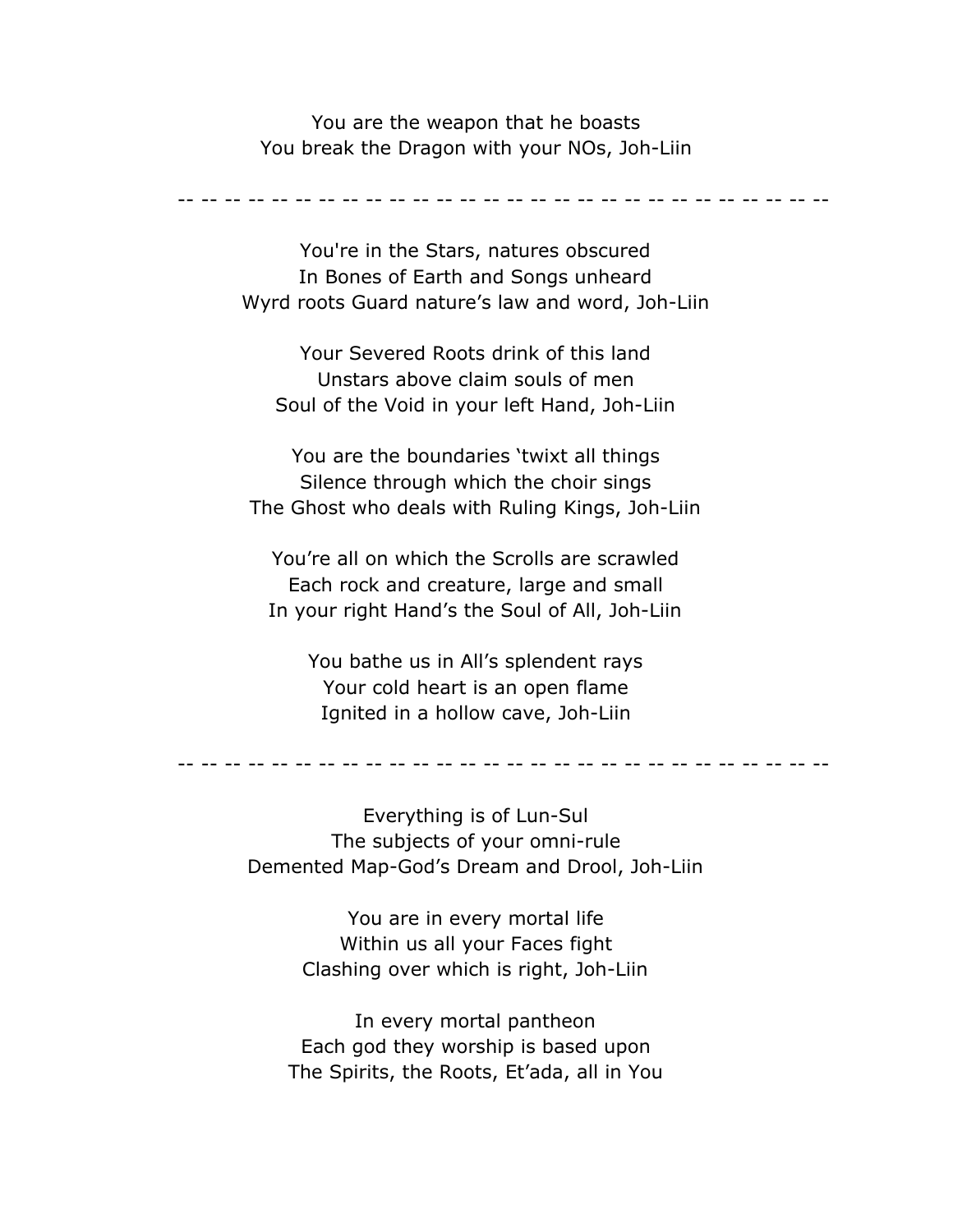You are the weapon that he boasts You break the Dragon with your NOs, Joh-Liin

-- -- -- -- -- -- -- -- -- -- -- -- -- -- -- -- -- -- -- -- -- -- -- -- -- -- -- --

You're in the Stars, natures obscured In Bones of Earth and Songs unheard Wyrd roots Guard nature's law and word, Joh-Liin

Your Severed Roots drink of this land Unstars above claim souls of men Soul of the Void in your left Hand, Joh-Liin

You are the boundaries 'twixt all things Silence through which the choir sings The Ghost who deals with Ruling Kings, Joh-Liin

You're all on which the Scrolls are scrawled Each rock and creature, large and small In your right Hand's the Soul of All, Joh-Liin

You bathe us in All's splendent rays Your cold heart is an open flame Ignited in a hollow cave, Joh-Liin

-- -- -- -- -- -- -- -- -- -- -- -- -- -- -- -- -- -- -- -- -- -- -- -- -- -- -- --

Everything is of Lun-Sul The subjects of your omni-rule Demented Map-God's Dream and Drool, Joh-Liin

> You are in every mortal life Within us all your Faces fight Clashing over which is right, Joh-Liin

In every mortal pantheon Each god they worship is based upon The Spirits, the Roots, Et'ada, all in You